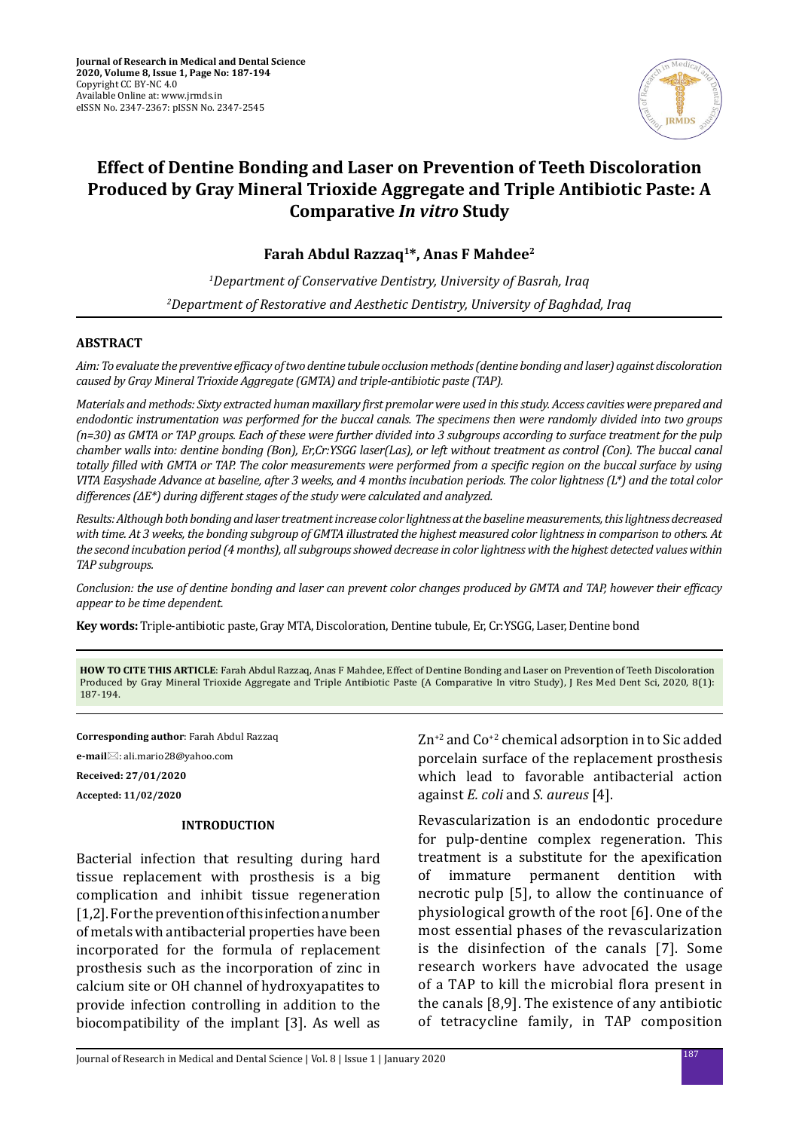

# **Effect of Dentine Bonding and Laser on Prevention of Teeth Discoloration Produced by Gray Mineral Trioxide Aggregate and Triple Antibiotic Paste: A Comparative** *In vitro* **Study**

**Farah Abdul Razzaq1\*, Anas F Mahdee2**

*1 Department of Conservative Dentistry, University of Basrah, Iraq 2 Department of Restorative and Aesthetic Dentistry, University of Baghdad, Iraq*

### **ABSTRACT**

*Aim: To evaluate the preventive efficacy of two dentine tubule occlusion methods (dentine bonding and laser) against discoloration caused by Gray Mineral Trioxide Aggregate (GMTA) and triple-antibiotic paste (TAP).* 

*Materials and methods: Sixty extracted human maxillary first premolar were used in this study. Access cavities were prepared and endodontic instrumentation was performed for the buccal canals. The specimens then were randomly divided into two groups (n=30) as GMTA or TAP groups. Each of these were further divided into 3 subgroups according to surface treatment for the pulp chamber walls into: dentine bonding (Bon), Er,Cr:YSGG laser(Las), or left without treatment as control (Con). The buccal canal totally filled with GMTA or TAP. The color measurements were performed from a specific region on the buccal surface by using VITA Easyshade Advance at baseline, after 3 weeks, and 4 months incubation periods. The color lightness (L\*) and the total color differences (∆E\*) during different stages of the study were calculated and analyzed.* 

*Results: Although both bonding and laser treatment increase color lightness at the baseline measurements, this lightness decreased with time. At 3 weeks, the bonding subgroup of GMTA illustrated the highest measured color lightness in comparison to others. At the second incubation period (4 months), all subgroups showed decrease in color lightness with the highest detected values within TAP subgroups.* 

*Conclusion: the use of dentine bonding and laser can prevent color changes produced by GMTA and TAP, however their efficacy appear to be time dependent.*

**Key words:** Triple-antibiotic paste, Gray MTA, Discoloration, Dentine tubule, Er, Cr:YSGG, Laser, Dentine bond

**HOW TO CITE THIS ARTICLE**: Farah Abdul Razzaq, Anas F Mahdee, Effect of Dentine Bonding and Laser on Prevention of Teeth Discoloration Produced by Gray Mineral Trioxide Aggregate and Triple Antibiotic Paste (A Comparative In vitro Study), J Res Med Dent Sci, 2020, 8(1): 187-194.

**Corresponding author**: Farah Abdul Razzaq

**e-mail**: ali.mario28@yahoo.com

**Received: 27/01/2020**

**Accepted: 11/02/2020**

### **INTRODUCTION**

Bacterial infection that resulting during hard tissue replacement with prosthesis is a big complication and inhibit tissue regeneration [1,2]. For the prevention of this infection a number of metals with antibacterial properties have been incorporated for the formula of replacement prosthesis such as the incorporation of zinc in calcium site or OH channel of hydroxyapatites to provide infection controlling in addition to the biocompatibility of the implant [3]. As well as Zn<sup>+2</sup> and Co<sup>+2</sup> chemical adsorption in to Sic added porcelain surface of the replacement prosthesis which lead to favorable antibacterial action against *E. coli* and *S. aureus* [4].

Revascularization is an endodontic procedure for pulp-dentine complex regeneration. This treatment is a substitute for the apexification<br>of immature permanent dentition with permanent dentition with necrotic pulp [5], to allow the continuance of physiological growth of the root [6]. One of the most essential phases of the revascularization is the disinfection of the canals [7]. Some research workers have advocated the usage of a TAP to kill the microbial flora present in the canals [8,9]. The existence of any antibiotic of tetracycline family, in TAP composition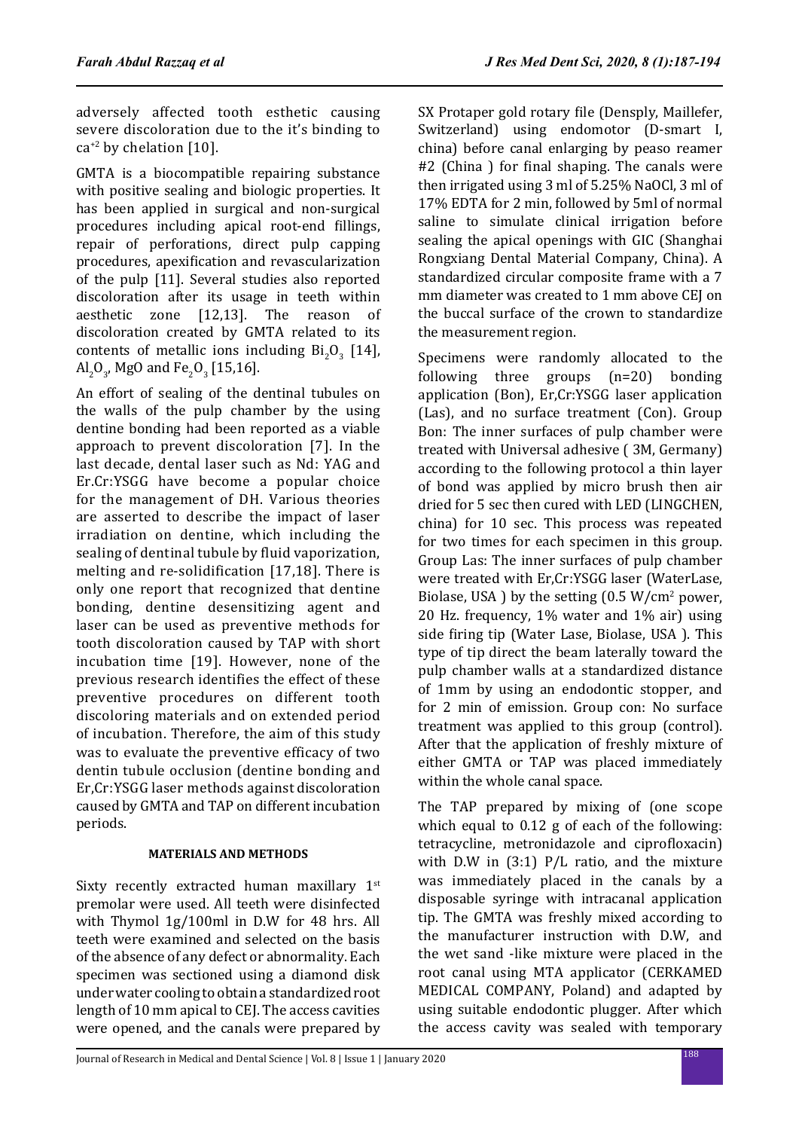adversely affected tooth esthetic causing severe discoloration due to the it's binding to  $ca^{+2}$  by chelation [10].

GMTA is a biocompatible repairing substance with positive sealing and biologic properties. It has been applied in surgical and non-surgical procedures including apical root-end fillings, repair of perforations, direct pulp capping procedures, apexification and revascularization of the pulp [11]. Several studies also reported discoloration after its usage in teeth within aesthetic zone [12,13]. The reason of discoloration created by GMTA related to its contents of metallic ions including  $Bi_2O_3$  [14],  $\text{Al}_2\text{O}_3$ , MgO and Fe<sub>2</sub>O<sub>3</sub> [15,16].

An effort of sealing of the dentinal tubules on the walls of the pulp chamber by the using dentine bonding had been reported as a viable approach to prevent discoloration [7]. In the last decade, dental laser such as Nd: YAG and Er.Cr:YSGG have become a popular choice for the management of DH. Various theories are asserted to describe the impact of laser irradiation on dentine, which including the sealing of dentinal tubule by fluid vaporization, melting and re-solidification [17,18]. There is only one report that recognized that dentine bonding, dentine desensitizing agent and laser can be used as preventive methods for tooth discoloration caused by TAP with short incubation time [19]. However, none of the previous research identifies the effect of these preventive procedures on different tooth discoloring materials and on extended period of incubation. Therefore, the aim of this study was to evaluate the preventive efficacy of two dentin tubule occlusion (dentine bonding and Er,Cr:YSGG laser methods against discoloration caused by GMTA and TAP on different incubation periods.

## **MATERIALS AND METHODS**

Sixty recently extracted human maxillary 1<sup>st</sup> premolar were used. All teeth were disinfected with Thymol 1g/100ml in D.W for 48 hrs. All teeth were examined and selected on the basis of the absence of any defect or abnormality. Each specimen was sectioned using a diamond disk under water cooling to obtain a standardized root length of 10 mm apical to CEJ. The access cavities were opened, and the canals were prepared by SX Protaper gold rotary file (Densply, Maillefer, Switzerland) using endomotor (D-smart I, china) before canal enlarging by peaso reamer #2 (China ) for final shaping. The canals were then irrigated using 3 ml of 5.25% NaOCl, 3 ml of 17% EDTA for 2 min, followed by 5ml of normal saline to simulate clinical irrigation before sealing the apical openings with GIC (Shanghai Rongxiang Dental Material Company, China). A standardized circular composite frame with a 7 mm diameter was created to 1 mm above CEJ on the buccal surface of the crown to standardize the measurement region.

Specimens were randomly allocated to the following three groups (n=20) bonding application (Bon), Er,Cr:YSGG laser application (Las), and no surface treatment (Con). Group Bon: The inner surfaces of pulp chamber were treated with Universal adhesive ( 3M, Germany) according to the following protocol a thin layer of bond was applied by micro brush then air dried for 5 sec then cured with LED (LINGCHEN, china) for 10 sec. This process was repeated for two times for each specimen in this group. Group Las: The inner surfaces of pulp chamber were treated with Er,Cr:YSGG laser (WaterLase, Biolase, USA) by the setting  $(0.5 \text{ W/cm}^2 \text{ power})$ , 20 Hz. frequency, 1% water and 1% air) using side firing tip (Water Lase, Biolase, USA ). This type of tip direct the beam laterally toward the pulp chamber walls at a standardized distance of 1mm by using an endodontic stopper, and for 2 min of emission. Group con: No surface treatment was applied to this group (control). After that the application of freshly mixture of either GMTA or TAP was placed immediately within the whole canal space.

The TAP prepared by mixing of (one scope which equal to 0.12 g of each of the following: tetracycline, metronidazole and ciprofloxacin) with D.W in (3:1) P/L ratio, and the mixture was immediately placed in the canals by a disposable syringe with intracanal application tip. The GMTA was freshly mixed according to the manufacturer instruction with D.W, and the wet sand -like mixture were placed in the root canal using MTA applicator (CERKAMED MEDICAL COMPANY, Poland) and adapted by using suitable endodontic plugger. After which the access cavity was sealed with temporary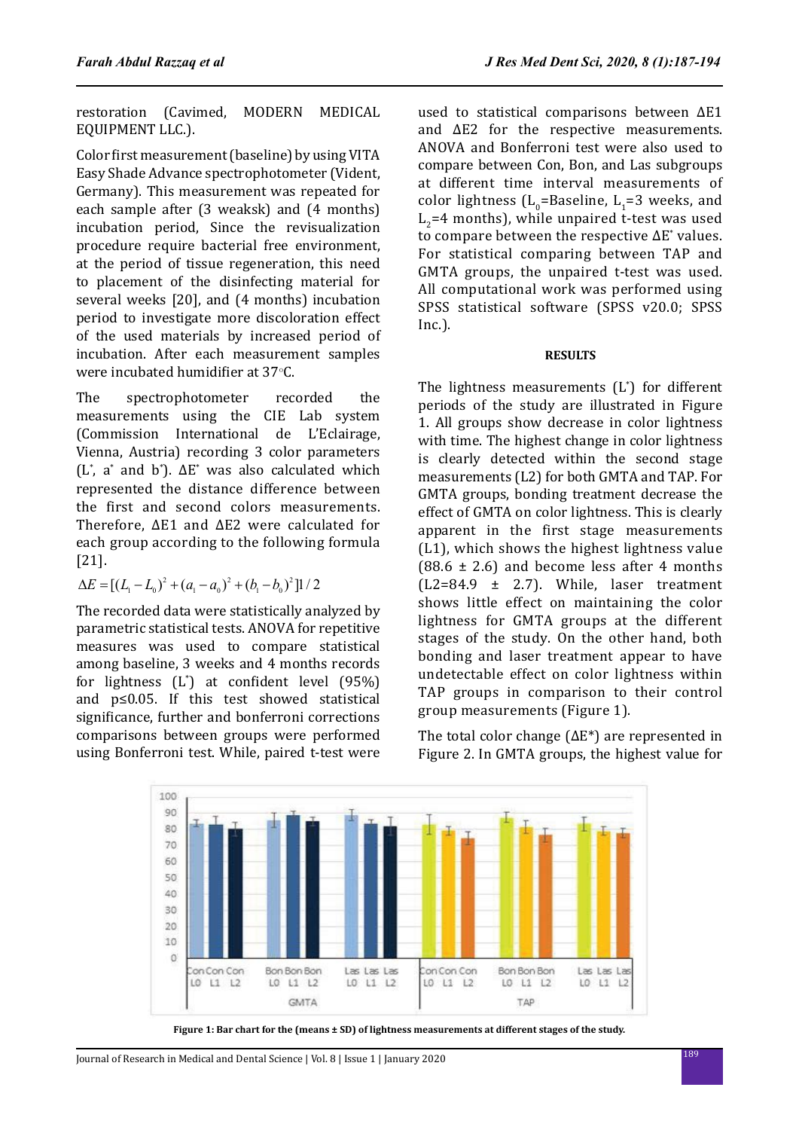restoration (Cavimed, MODERN MEDICAL EQUIPMENT LLC.).

Color first measurement (baseline) by using VITA Easy Shade Advance spectrophotometer (Vident, Germany). This measurement was repeated for each sample after (3 weaksk) and (4 months) incubation period, Since the revisualization procedure require bacterial free environment, at the period of tissue regeneration, this need to placement of the disinfecting material for several weeks [20], and (4 months) incubation period to investigate more discoloration effect of the used materials by increased period of incubation. After each measurement samples were incubated humidifier at 37 $\degree$ C.

The spectrophotometer recorded the measurements using the CIE Lab system (Commission International de L'Eclairage, Vienna, Austria) recording 3 color parameters  $(L^*, a^*$  and b<sup>\*</sup>).  $\Delta E^*$  was also calculated which represented the distance difference between the first and second colors measurements. Therefore, ΔE1 and ΔE2 were calculated for each group according to the following formula [21].

 $\Delta E = [(L_1 - L_0)^2 + (a_1 - a_0)^2 + (b_1 - b_0)^2]1/2$ 

The recorded data were statistically analyzed by parametric statistical tests. ANOVA for repetitive measures was used to compare statistical among baseline, 3 weeks and 4 months records for lightness (L\* ) at confident level (95%) and p≤0.05. If this test showed statistical significance, further and bonferroni corrections comparisons between groups were performed using Bonferroni test. While, paired t-test were

used to statistical comparisons between ΔE1 and ΔE2 for the respective measurements. ANOVA and Bonferroni test were also used to compare between Con, Bon, and Las subgroups at different time interval measurements of color lightness  $(L<sub>o</sub>=Baseline, L<sub>1</sub>=3$  weeks, and  $L<sub>2</sub>=4$  months), while unpaired t-test was used to compare between the respective  $\Delta E^*$  values. For statistical comparing between TAP and GMTA groups, the unpaired t-test was used. All computational work was performed using SPSS statistical software (SPSS v20.0; SPSS Inc.).

### **RESULTS**

The lightness measurements (L\* ) for different periods of the study are illustrated in Figure 1. All groups show decrease in color lightness with time. The highest change in color lightness is clearly detected within the second stage measurements (L2) for both GMTA and TAP. For GMTA groups, bonding treatment decrease the effect of GMTA on color lightness. This is clearly apparent in the first stage measurements (L1), which shows the highest lightness value  $(88.6 \pm 2.6)$  and become less after 4 months  $(L2=84.9 \pm 2.7)$ . While, laser treatment shows little effect on maintaining the color lightness for GMTA groups at the different stages of the study. On the other hand, both bonding and laser treatment appear to have undetectable effect on color lightness within TAP groups in comparison to their control group measurements (Figure 1).

The total color change  $(\Delta E^*)$  are represented in Figure 2. In GMTA groups, the highest value for



**Figure 1: Bar chart for the (means ± SD) of lightness measurements at different stages of the study.**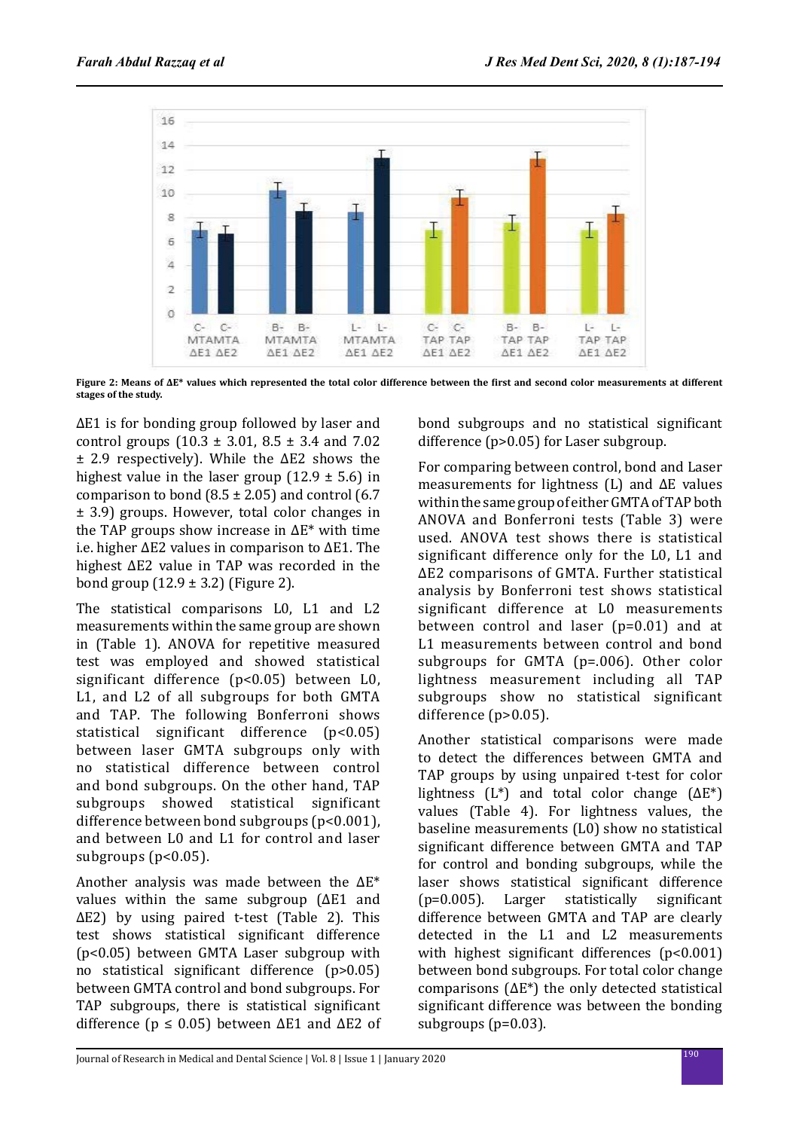

**Figure 2: Means of ΔE\* values which represented the total color difference between the first and second color measurements at different stages of the study.**

ΔE1 is for bonding group followed by laser and control groups (10.3 ± 3.01, 8.5 ± 3.4 and 7.02 ± 2.9 respectively). While the ΔE2 shows the highest value in the laser group  $(12.9 \pm 5.6)$  in comparison to bond  $(8.5 \pm 2.05)$  and control  $(6.7)$ ± 3.9) groups. However, total color changes in the TAP groups show increase in  $ΔE^*$  with time i.e. higher ΔE2 values in comparison to ΔE1. The highest ΔE2 value in TAP was recorded in the bond group  $(12.9 \pm 3.2)$  (Figure 2).

The statistical comparisons L0, L1 and L2 measurements within the same group are shown in (Table 1). ANOVA for repetitive measured test was employed and showed statistical significant difference (p<0.05) between L0, L1, and L2 of all subgroups for both GMTA and TAP. The following Bonferroni shows statistical significant difference (p<0.05) between laser GMTA subgroups only with no statistical difference between control and bond subgroups. On the other hand, TAP subgroups showed statistical significant difference between bond subgroups (p<0.001), and between L0 and L1 for control and laser subgroups (p<0.05).

Another analysis was made between the ΔE\* values within the same subgroup (ΔE1 and ΔE2) by using paired t-test (Table 2). This test shows statistical significant difference (p<0.05) between GMTA Laser subgroup with no statistical significant difference (p>0.05) between GMTA control and bond subgroups. For TAP subgroups, there is statistical significant difference ( $p \le 0.05$ ) between  $\Delta E1$  and  $\Delta E2$  of bond subgroups and no statistical significant difference (p>0.05) for Laser subgroup.

For comparing between control, bond and Laser measurements for lightness  $(L)$  and  $\Delta E$  values within the same group of either GMTA of TAP both ANOVA and Bonferroni tests (Table 3) were used. ANOVA test shows there is statistical significant difference only for the L0, L1 and ΔE2 comparisons of GMTA. Further statistical analysis by Bonferroni test shows statistical significant difference at L0 measurements between control and laser (p=0.01) and at L1 measurements between control and bond subgroups for GMTA (p=.006). Other color lightness measurement including all TAP subgroups show no statistical significant difference (p>0.05).

Another statistical comparisons were made to detect the differences between GMTA and TAP groups by using unpaired t-test for color lightness  $(L^*)$  and total color change  $(\Delta E^*)$ values (Table 4). For lightness values, the baseline measurements (L0) show no statistical significant difference between GMTA and TAP for control and bonding subgroups, while the laser shows statistical significant difference<br>(p=0.005). Larger statistically significant (p=0.005). Larger statistically significant difference between GMTA and TAP are clearly detected in the L1 and L2 measurements with highest significant differences (p<0.001) between bond subgroups. For total color change comparisons  $(\Delta E^*)$  the only detected statistical significant difference was between the bonding subgroups (p=0.03).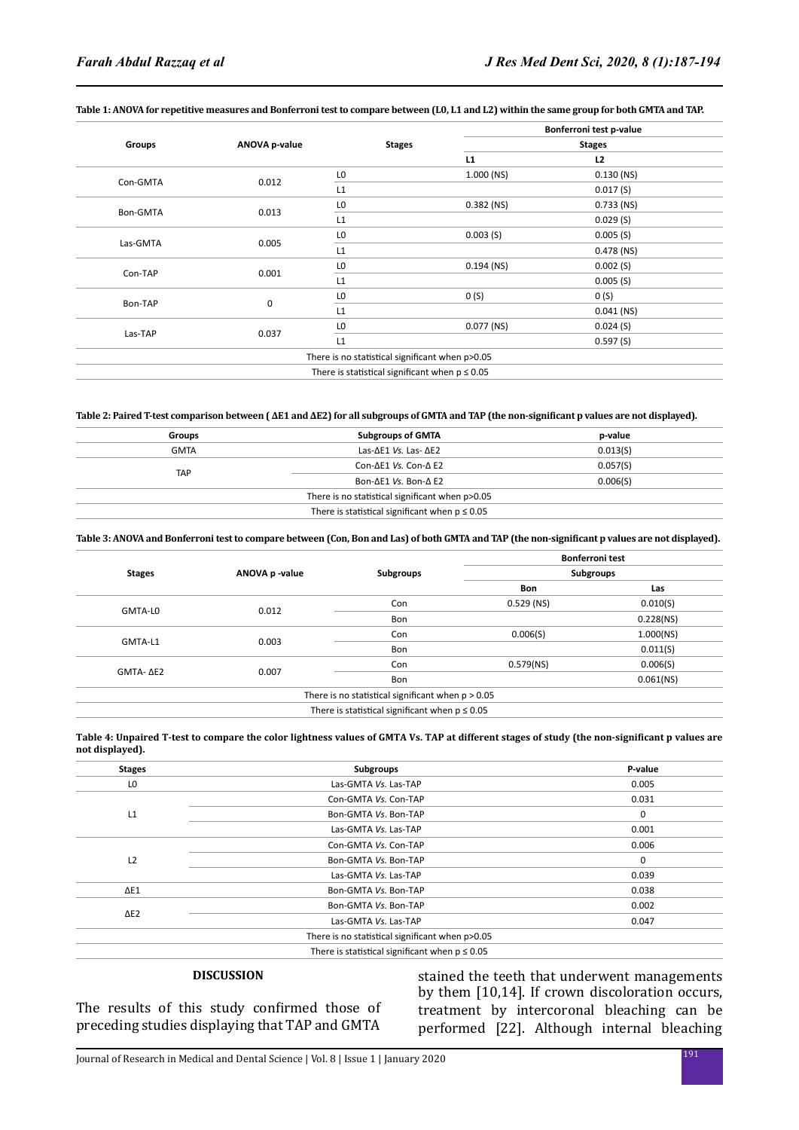|          | ANOVA p-value | <b>Stages</b>                                      | Bonferroni test p-value<br><b>Stages</b> |              |
|----------|---------------|----------------------------------------------------|------------------------------------------|--------------|
| Groups   |               |                                                    |                                          |              |
|          |               |                                                    | L1                                       | L2           |
| Con-GMTA | 0.012         | L <sub>0</sub>                                     | $1.000$ (NS)                             | $0.130$ (NS) |
|          |               | L1                                                 |                                          | 0.017(S)     |
| Bon-GMTA | 0.013         | L <sub>0</sub>                                     | $0.382$ (NS)                             | $0.733$ (NS) |
|          |               | L1                                                 |                                          | 0.029(S)     |
| Las-GMTA | 0.005         | L <sub>0</sub>                                     | 0.003(S)                                 | 0.005(S)     |
|          |               | L1                                                 |                                          | $0.478$ (NS) |
| Con-TAP  | 0.001         | L <sub>0</sub>                                     | $0.194$ (NS)                             | 0.002(S)     |
|          |               | L1                                                 |                                          | 0.005(S)     |
| Bon-TAP  | $\mathbf 0$   | L <sub>0</sub>                                     | 0(5)                                     | 0(5)         |
|          |               | L1                                                 |                                          | $0.041$ (NS) |
| Las-TAP  | 0.037         | L <sub>0</sub>                                     | $0.077$ (NS)                             | 0.024(S)     |
|          |               | L1                                                 |                                          | 0.597(S)     |
|          |               | There is no statistical significant when p>0.05    |                                          |              |
|          |               | There is statistical significant when $p \le 0.05$ |                                          |              |

### **Table 1: ANOVA for repetitive measures and Bonferroni test to compare between (L0, L1 and L2) within the same group for both GMTA and TAP.**

#### **Table 2: Paired T-test comparison between ( ΔE1 and ΔE2) for all subgroups of GMTA and TAP (the non-significant p values are not displayed).**

| Groups      | <b>Subgroups of GMTA</b>                           | p-value  |
|-------------|----------------------------------------------------|----------|
| <b>GMTA</b> | Las- $\Delta$ E1 Vs. Las- $\Delta$ E2              | 0.013(5) |
|             | Con- $\Delta$ E1 Vs. Con- $\Delta$ E2              | 0.057(S) |
| <b>TAP</b>  | Bon-ΔE1 Vs. Bon-Δ E2                               | 0.006(5) |
|             | There is no statistical significant when p>0.05    |          |
|             | There is statistical significant when $p \le 0.05$ |          |

#### **Table 3: ANOVA and Bonferroni test to compare between (Con, Bon and Las) of both GMTA and TAP (the non-significant p values are not displayed).**

| <b>Stages</b> | ANOVA p -value | Subgroups                                           | <b>Bonferroni test</b><br>Subgroups |              |
|---------------|----------------|-----------------------------------------------------|-------------------------------------|--------------|
|               |                |                                                     |                                     |              |
|               |                |                                                     |                                     | 0.012        |
| GMTA-L0       | Bon            |                                                     | 0.228(NS)                           |              |
| GMTA-L1       | 0.003          | Con                                                 | 0.006(S)                            | 1.000(NS)    |
|               |                | Bon                                                 |                                     | 0.011(S)     |
|               | 0.007          | Con                                                 | 0.579(NS)                           | 0.006(S)     |
| GMTA- ΔE2     |                | Bon                                                 |                                     | $0.061$ (NS) |
|               |                | There is no statistical significant when $p > 0.05$ |                                     |              |
|               |                | There is statistical significant when $p \le 0.05$  |                                     |              |

#### **Table 4: Unpaired T-test to compare the color lightness values of GMTA Vs. TAP at different stages of study (the non-significant p values are not displayed).**

| <b>Stages</b>  | Subgroups                                          | P-value     |
|----------------|----------------------------------------------------|-------------|
| LO             | Las-GMTA Vs. Las-TAP                               | 0.005       |
|                | Con-GMTA Vs. Con-TAP                               | 0.031       |
| L1             | Bon-GMTA Vs. Bon-TAP                               | 0           |
|                | Las-GMTA Vs. Las-TAP                               | 0.001       |
|                | Con-GMTA Vs. Con-TAP                               | 0.006       |
| L <sub>2</sub> | Bon-GMTA Vs. Bon-TAP                               | $\mathbf 0$ |
|                | Las-GMTA Vs. Las-TAP                               | 0.039       |
| $\Delta E1$    | Bon-GMTA Vs. Bon-TAP                               | 0.038       |
|                | Bon-GMTA Vs. Bon-TAP                               | 0.002       |
| $\Delta$ E2    | Las-GMTA Vs. Las-TAP                               | 0.047       |
|                | There is no statistical significant when p>0.05    |             |
|                | There is statistical significant when $p \le 0.05$ |             |

### **DISCUSSION**

The results of this study confirmed those of preceding studies displaying that TAP and GMTA

stained the teeth that underwent managements by them [10,14]. If crown discoloration occurs, treatment by intercoronal bleaching can be performed [22]. Although internal bleaching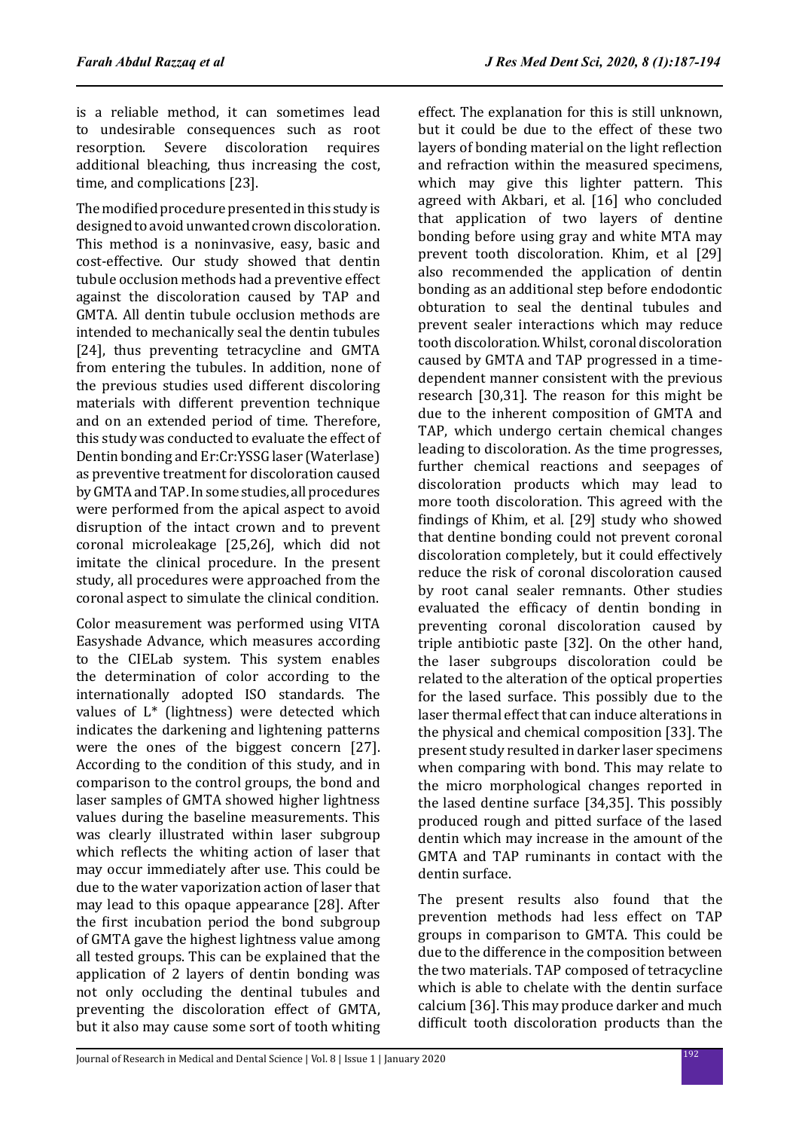is a reliable method, it can sometimes lead to undesirable consequences such as root resorption. Severe discoloration requires additional bleaching, thus increasing the cost, time, and complications [23].

The modified procedure presented in this study is designed to avoid unwanted crown discoloration. This method is a noninvasive, easy, basic and cost-effective. Our study showed that dentin tubule occlusion methods had a preventive effect against the discoloration caused by TAP and GMTA. All dentin tubule occlusion methods are intended to mechanically seal the dentin tubules [24], thus preventing tetracycline and GMTA from entering the tubules. In addition, none of the previous studies used different discoloring materials with different prevention technique and on an extended period of time. Therefore, this study was conducted to evaluate the effect of Dentin bonding and Er:Cr:YSSG laser (Waterlase) as preventive treatment for discoloration caused by GMTA and TAP. In some studies, all procedures were performed from the apical aspect to avoid disruption of the intact crown and to prevent coronal microleakage [25,26], which did not imitate the clinical procedure. In the present study, all procedures were approached from the coronal aspect to simulate the clinical condition.

Color measurement was performed using VITA Easyshade Advance, which measures according to the CIELab system. This system enables the determination of color according to the internationally adopted ISO standards. The values of L\* (lightness) were detected which indicates the darkening and lightening patterns were the ones of the biggest concern [27]. According to the condition of this study, and in comparison to the control groups, the bond and laser samples of GMTA showed higher lightness values during the baseline measurements. This was clearly illustrated within laser subgroup which reflects the whiting action of laser that may occur immediately after use. This could be due to the water vaporization action of laser that may lead to this opaque appearance [28]. After the first incubation period the bond subgroup of GMTA gave the highest lightness value among all tested groups. This can be explained that the application of 2 layers of dentin bonding was not only occluding the dentinal tubules and preventing the discoloration effect of GMTA, but it also may cause some sort of tooth whiting effect. The explanation for this is still unknown, but it could be due to the effect of these two layers of bonding material on the light reflection and refraction within the measured specimens, which may give this lighter pattern. This agreed with Akbari, et al. [16] who concluded that application of two layers of dentine bonding before using gray and white MTA may prevent tooth discoloration. Khim, et al [29] also recommended the application of dentin bonding as an additional step before endodontic obturation to seal the dentinal tubules and prevent sealer interactions which may reduce tooth discoloration. Whilst, coronal discoloration caused by GMTA and TAP progressed in a timedependent manner consistent with the previous research [30,31]. The reason for this might be due to the inherent composition of GMTA and TAP, which undergo certain chemical changes leading to discoloration. As the time progresses, further chemical reactions and seepages of discoloration products which may lead to more tooth discoloration. This agreed with the findings of Khim, et al. [29] study who showed that dentine bonding could not prevent coronal discoloration completely, but it could effectively reduce the risk of coronal discoloration caused by root canal sealer remnants. Other studies evaluated the efficacy of dentin bonding in preventing coronal discoloration caused by triple antibiotic paste [32]. On the other hand, the laser subgroups discoloration could be related to the alteration of the optical properties for the lased surface. This possibly due to the laser thermal effect that can induce alterations in the physical and chemical composition [33]. The present study resulted in darker laser specimens when comparing with bond. This may relate to the micro morphological changes reported in the lased dentine surface [34,35]. This possibly produced rough and pitted surface of the lased dentin which may increase in the amount of the GMTA and TAP ruminants in contact with the dentin surface.

The present results also found that the prevention methods had less effect on TAP groups in comparison to GMTA. This could be due to the difference in the composition between the two materials. TAP composed of tetracycline which is able to chelate with the dentin surface calcium [36]. This may produce darker and much difficult tooth discoloration products than the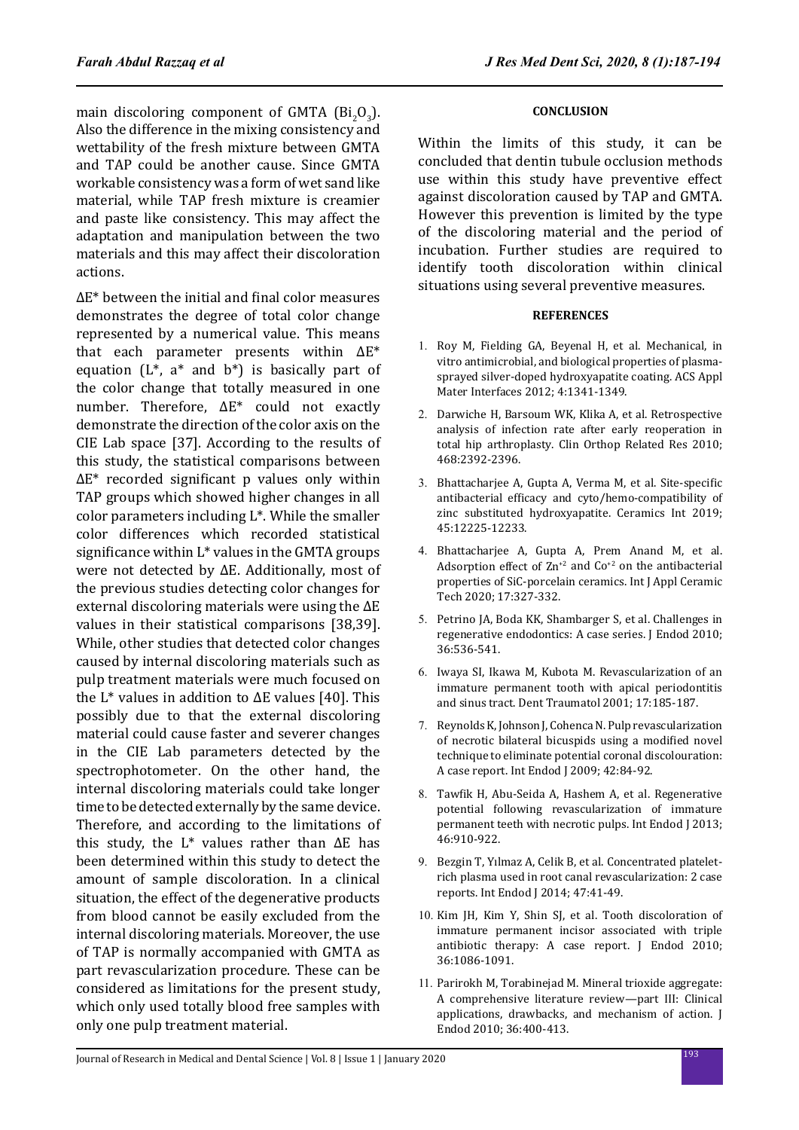main discoloring component of GMTA  $(Bi_2O_3)$ . Also the difference in the mixing consistency and wettability of the fresh mixture between GMTA and TAP could be another cause. Since GMTA workable consistency was a form of wet sand like material, while TAP fresh mixture is creamier and paste like consistency. This may affect the adaptation and manipulation between the two materials and this may affect their discoloration actions.

ΔE\* between the initial and final color measures demonstrates the degree of total color change represented by a numerical value. This means that each parameter presents within ΔE\* equation  $(L^*, a^*$  and  $b^*)$  is basically part of the color change that totally measured in one number. Therefore, ΔE\* could not exactly demonstrate the direction of the color axis on the CIE Lab space [37]. According to the results of this study, the statistical comparisons between ΔE\* recorded significant p values only within TAP groups which showed higher changes in all color parameters including L\*. While the smaller color differences which recorded statistical significance within L\* values in the GMTA groups were not detected by ΔE. Additionally, most of the previous studies detecting color changes for external discoloring materials were using the ΔE values in their statistical comparisons [38,39]. While, other studies that detected color changes caused by internal discoloring materials such as pulp treatment materials were much focused on the  $L^*$  values in addition to  $\Delta E$  values [40]. This possibly due to that the external discoloring material could cause faster and severer changes in the CIE Lab parameters detected by the spectrophotometer. On the other hand, the internal discoloring materials could take longer time to be detected externally by the same device. Therefore, and according to the limitations of this study, the  $L^*$  values rather than  $\Delta E$  has been determined within this study to detect the amount of sample discoloration. In a clinical situation, the effect of the degenerative products from blood cannot be easily excluded from the internal discoloring materials. Moreover, the use of TAP is normally accompanied with GMTA as part revascularization procedure. These can be considered as limitations for the present study, which only used totally blood free samples with only one pulp treatment material.

### **CONCLUSION**

Within the limits of this study, it can be concluded that dentin tubule occlusion methods use within this study have preventive effect against discoloration caused by TAP and GMTA. However this prevention is limited by the type of the discoloring material and the period of incubation. Further studies are required to identify tooth discoloration within clinical situations using several preventive measures.

### **REFERENCES**

- 1. Roy M, Fielding GA, Beyenal H, et al. Mechanical, in vitro antimicrobial, and biological properties of plasmasprayed silver-doped hydroxyapatite coating. ACS Appl Mater Interfaces 2012; 4:1341-1349.
- 2. Darwiche H, Barsoum WK, Klika A, et al. Retrospective analysis of infection rate after early reoperation in total hip arthroplasty. Clin Orthop Related Res 2010; 468:2392-2396.
- 3. Bhattacharjee A, Gupta A, Verma M, et al. Site-specific antibacterial efficacy and cyto/hemo-compatibility of zinc substituted hydroxyapatite. Ceramics Int 2019; 45:12225-12233.
- 4. Bhattacharjee A, Gupta A, Prem Anand M, et al. Adsorption effect of  $\text{Zn}^{2}$  and  $\text{Co}^{2}$  on the antibacterial properties of SiC-porcelain ceramics. Int J Appl Ceramic Tech 2020; 17:327-332.
- 5. Petrino JA, Boda KK, Shambarger S, et al. Challenges in regenerative endodontics: A case series. J Endod 2010; 36:536-541.
- 6. Iwaya SI, Ikawa M, Kubota M. Revascularization of an immature permanent tooth with apical periodontitis and sinus tract. Dent Traumatol 2001; 17:185-187.
- 7. Reynolds K, Johnson J, Cohenca N. Pulp revascularization of necrotic bilateral bicuspids using a modified novel technique to eliminate potential coronal discolouration: A case report. Int Endod J 2009; 42:84-92.
- 8. Tawfik H, Abu‐Seida A, Hashem A, et al. Regenerative potential following revascularization of immature permanent teeth with necrotic pulps. Int Endod J 2013; 46:910-922.
- 9. Bezgin T, Yılmaz A, Celik B, et al. Concentrated platelet‐ rich plasma used in root canal revascularization: 2 case reports. Int Endod J 2014; 47:41-49.
- 10. Kim JH, Kim Y, Shin SJ, et al. Tooth discoloration of immature permanent incisor associated with triple antibiotic therapy: A case report. J Endod 2010; 36:1086-1091.
- 11. Parirokh M, Torabinejad M. Mineral trioxide aggregate: A comprehensive literature review—part III: Clinical applications, drawbacks, and mechanism of action. J Endod 2010; 36:400-413.